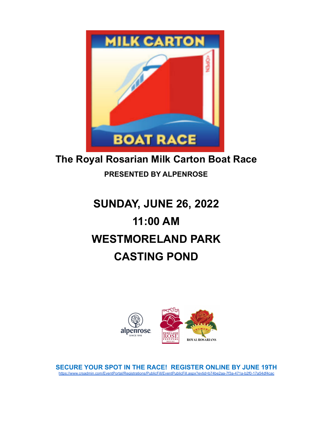

## **The Royal Rosarian Milk Carton Boat Race**

## **PRESENTED BY ALPENROSE**

# **SUNDAY, JUNE 26, 2022 11:00 AM WESTMORELAND PARK CASTING POND**



**SECURE YOUR SPOT IN THE RACE! REGISTER ONLINE BY JUNE 19TH** [https://www.crsadmin.com/EventPortal/Registrations/PublicFill/EventPublicFill.aspx?evtid=b74be2aa-7f3a-471a-b2f0-17a54df4cac](https://www.crsadmin.com/EventPortal/Registrations/PublicFill/EventPublicFill.aspx?evtid=b74be2aa-7f3a-471a-b2f0-17a54df4cace)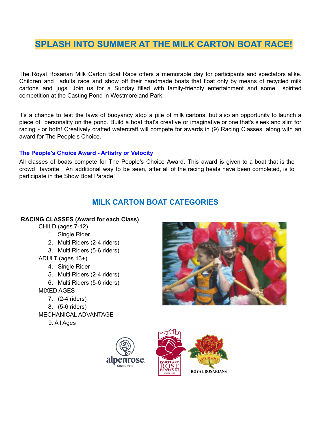## **SPLASH INTO SUMMER AT THE MILK CARTON BOAT RACE!**

The Royal Rosarian Milk Carton Boat Race offers a memorable day for participants and spectators alike. Children and adults race and show off their handmade boats that float only by means of recycled milk cartons and jugs. Join us for a Sunday filled with family-friendly entertainment and some spirited competition at the Casting Pond in Westmoreland Park.

It's a chance to test the laws of buoyancy atop a pile of milk cartons, but also an opportunity to launch a piece of personality on the pond. Build a boat that's creative or imaginative or one that's sleek and slim for racing - or both! Creatively crafted watercraft will compete for awards in (9) Racing Classes, along with an award for The People's Choice.

#### **The People's Choice Award - Artistry or Velocity**

All classes of boats compete for The People's Choice Award. This award is given to a boat that is the crowd favorite. An additional way to be seen, after all of the racing heats have been completed, is to participate in the Show Boat Parade!

## **MILK CARTON BOAT CATEGORIES**

#### **RACING CLASSES (Award for each Class)**

CHILD (ages 7-12)

- 1. Single Rider
- 2. Multi Riders (2-4 riders)
- 3. Multi Riders (5-6 riders)
- ADULT (ages 13+)
	- 4. Single Rider
	- 5. Multi Riders (2-4 riders)
	- 6. Multi Riders (5-6 riders)
- MIXED AGES
	- 7. (2-4 riders)
	- 8. (5-6 riders)
- MECHANICAL ADVANTAGE
	- 9. All Ages





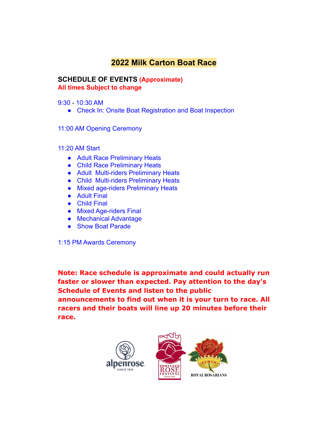## **2022 Milk Carton Boat Race**

### **SCHEDULE OF EVENTS (Approximate) All times Subject to change**

9:30 - 10:30 AM

● Check In: Onsite Boat Registration and Boat Inspection

11:00 AM Opening Ceremony

11:20 AM Start

- Adult Race Preliminary Heats
- Child Race Preliminary Heats
- Adult Multi-riders Preliminary Heats
- Child Multi-riders Preliminary Heats
- Mixed age-riders Preliminary Heats
- Adult Final
- Child Final
- Mixed Age-riders Final
- Mechanical Advantage
- Show Boat Parade

1:15 PM Awards Ceremony

**Note: Race schedule is approximate and could actually run faster or slower than expected. Pay attention to the day's Schedule of Events and listen to the public announcements to find out when it is your turn to race. All racers and their boats will line up 20 minutes before their race.**